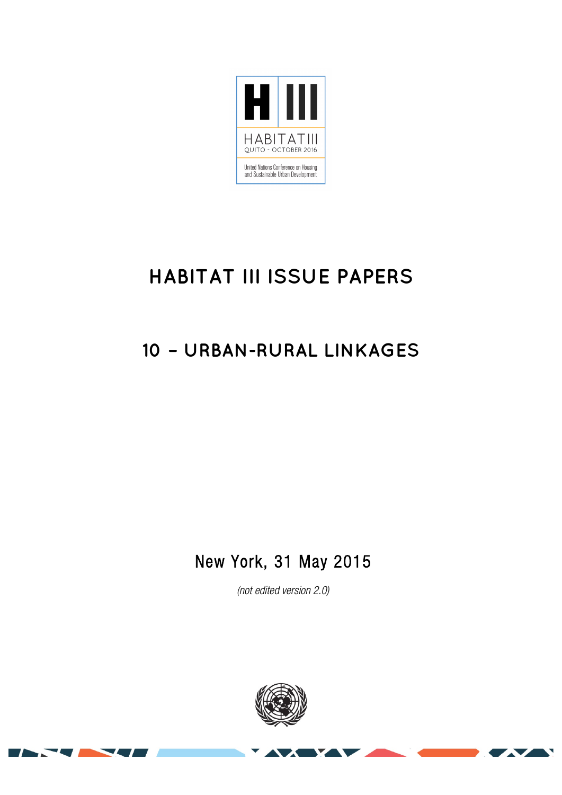

# **HABITAT III ISSUE PAPERS**

## **10 – URBAN-RURAL LINKAGES**

### New York, 31 May 2015

*(not edited version* 2.0*)* 

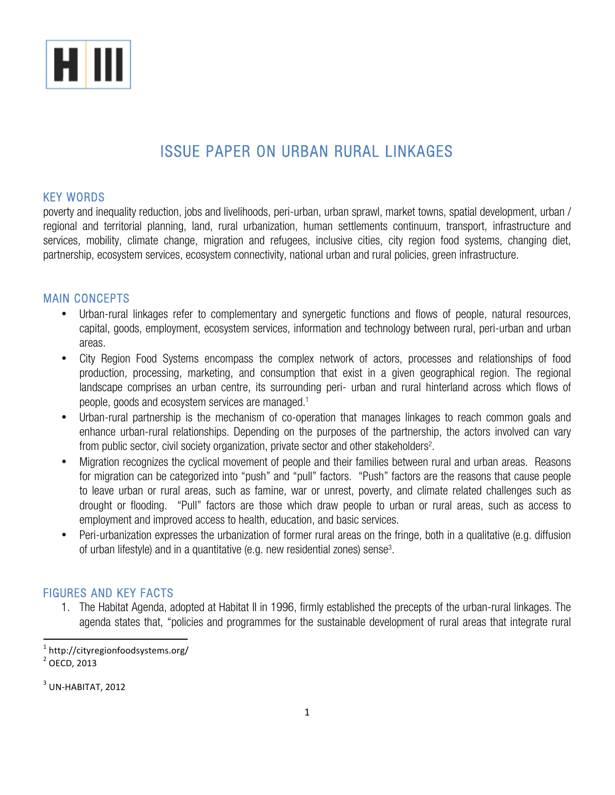

### ISSUE PAPER ON URBAN RURAL LINKAGES

#### KEY WORDS

poverty and inequality reduction, jobs and livelihoods, peri-urban, urban sprawl, market towns, spatial development, urban / regional and territorial planning, land, rural urbanization, human settlements continuum, transport, infrastructure and services, mobility, climate change, migration and refugees, inclusive cities, city region food systems, changing diet, partnership, ecosystem services, ecosystem connectivity, national urban and rural policies, green infrastructure.

#### MAIN CONCEPTS

- Urban-rural linkages refer to complementary and synergetic functions and flows of people, natural resources, capital, goods, employment, ecosystem services, information and technology between rural, peri-urban and urban areas.
- City Region Food Systems encompass the complex network of actors, processes and relationships of food production, processing, marketing, and consumption that exist in a given geographical region. The regional landscape comprises an urban centre, its surrounding peri- urban and rural hinterland across which flows of people, goods and ecosystem services are managed.1
- Urban-rural partnership is the mechanism of co-operation that manages linkages to reach common goals and enhance urban-rural relationships. Depending on the purposes of the partnership, the actors involved can vary from public sector, civil society organization, private sector and other stakeholders<sup>2</sup>.
- Migration recognizes the cyclical movement of people and their families between rural and urban areas. Reasons for migration can be categorized into "push" and "pull" factors. "Push" factors are the reasons that cause people to leave urban or rural areas, such as famine, war or unrest, poverty, and climate related challenges such as drought or flooding. "Pull" factors are those which draw people to urban or rural areas, such as access to employment and improved access to health, education, and basic services.
- Peri-urbanization expresses the urbanization of former rural areas on the fringe, both in a qualitative (e.g. diffusion of urban lifestyle) and in a quantitative (e.g. new residential zones) sense<sup>3</sup>.

#### FIGURES AND KEY FACTS

1. The Habitat Agenda, adopted at Habitat II in 1996, firmly established the precepts of the urban-rural linkages. The agenda states that, "policies and programmes for the sustainable development of rural areas that integrate rural

 <sup>1</sup> http://cityregionfoodsystems.org/

 $3$  UN-HABITAT, 2012

 $2$  OECD, 2013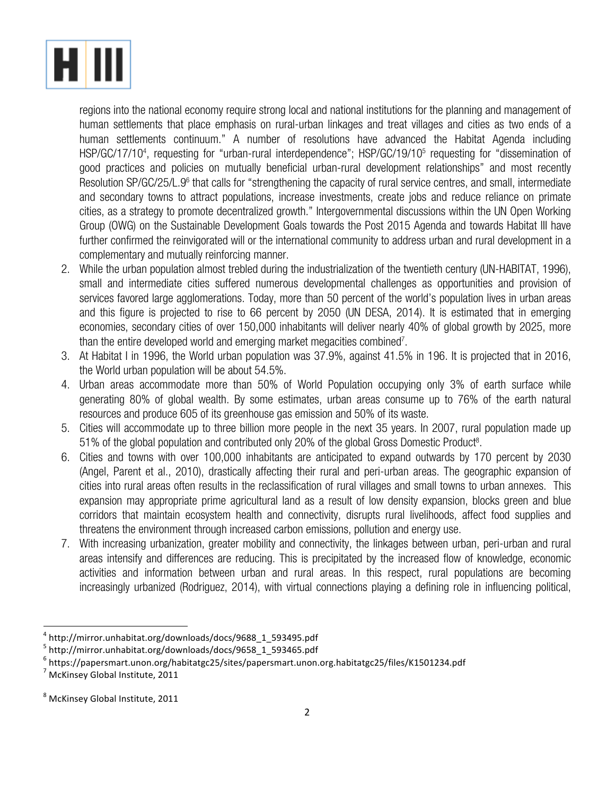

regions into the national economy require strong local and national institutions for the planning and management of human settlements that place emphasis on rural-urban linkages and treat villages and cities as two ends of a human settlements continuum." A number of resolutions have advanced the Habitat Agenda including HSP/GC/17/10<sup>4</sup>, requesting for "urban-rural interdependence"; HSP/GC/19/10<sup>5</sup> requesting for "dissemination of good practices and policies on mutually beneficial urban-rural development relationships" and most recently Resolution SP/GC/25/L.9<sup>6</sup> that calls for "strengthening the capacity of rural service centres, and small, intermediate and secondary towns to attract populations, increase investments, create jobs and reduce reliance on primate cities, as a strategy to promote decentralized growth." Intergovernmental discussions within the UN Open Working Group (OWG) on the Sustainable Development Goals towards the Post 2015 Agenda and towards Habitat III have further confirmed the reinvigorated will or the international community to address urban and rural development in a complementary and mutually reinforcing manner.

- 2. While the urban population almost trebled during the industrialization of the twentieth century (UN-HABITAT, 1996), small and intermediate cities suffered numerous developmental challenges as opportunities and provision of services favored large agglomerations. Today, more than 50 percent of the world's population lives in urban areas and this figure is projected to rise to 66 percent by 2050 (UN DESA, 2014). It is estimated that in emerging economies, secondary cities of over 150,000 inhabitants will deliver nearly 40% of global growth by 2025, more than the entire developed world and emerging market megacities combined<sup>7</sup>.
- 3. At Habitat I in 1996, the World urban population was 37.9%, against 41.5% in 196. It is projected that in 2016, the World urban population will be about 54.5%.
- 4. Urban areas accommodate more than 50% of World Population occupying only 3% of earth surface while generating 80% of global wealth. By some estimates, urban areas consume up to 76% of the earth natural resources and produce 605 of its greenhouse gas emission and 50% of its waste.
- 5. Cities will accommodate up to three billion more people in the next 35 years. In 2007, rural population made up 51% of the global population and contributed only 20% of the global Gross Domestic Product<sup>8</sup>.
- 6. Cities and towns with over 100,000 inhabitants are anticipated to expand outwards by 170 percent by 2030 (Angel, Parent et al., 2010), drastically affecting their rural and peri-urban areas. The geographic expansion of cities into rural areas often results in the reclassification of rural villages and small towns to urban annexes. This expansion may appropriate prime agricultural land as a result of low density expansion, blocks green and blue corridors that maintain ecosystem health and connectivity, disrupts rural livelihoods, affect food supplies and threatens the environment through increased carbon emissions, pollution and energy use.
- 7. With increasing urbanization, greater mobility and connectivity, the linkages between urban, peri-urban and rural areas intensify and differences are reducing. This is precipitated by the increased flow of knowledge, economic activities and information between urban and rural areas. In this respect, rural populations are becoming increasingly urbanized (Rodriguez, 2014), with virtual connections playing a defining role in influencing political,

 

<sup>&</sup>lt;sup>4</sup> http://mirror.unhabitat.org/downloads/docs/9688\_1\_593495.pdf

<sup>5</sup> http://mirror.unhabitat.org/downloads/docs/9658\_1\_593465.pdf

<sup>6</sup> https://papersmart.unon.org/habitatgc25/sites/papersmart.unon.org.habitatgc25/files/K1501234.pdf

 $<sup>7</sup>$  McKinsey Global Institute, 2011</sup>

 $8$  McKinsey Global Institute, 2011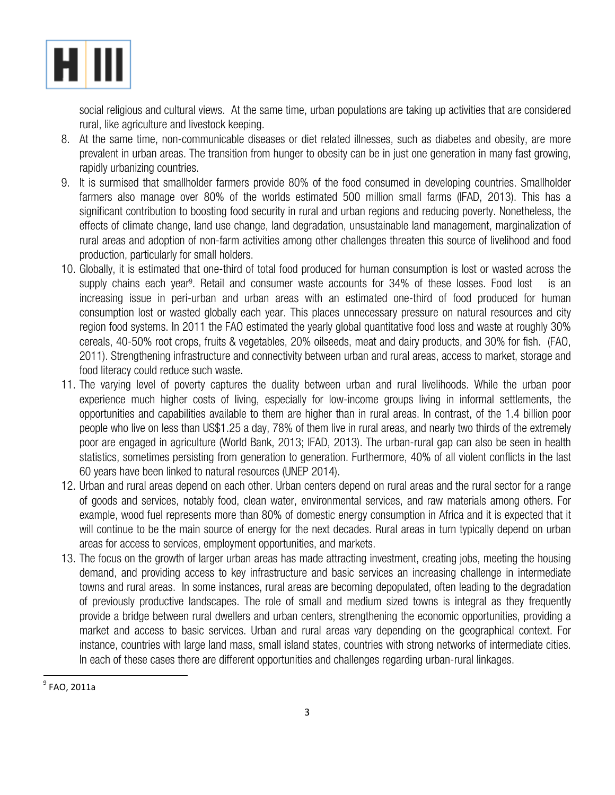

social religious and cultural views. At the same time, urban populations are taking up activities that are considered rural, like agriculture and livestock keeping.

- 8. At the same time, non-communicable diseases or diet related illnesses, such as diabetes and obesity, are more prevalent in urban areas. The transition from hunger to obesity can be in just one generation in many fast growing, rapidly urbanizing countries.
- 9. It is surmised that smallholder farmers provide 80% of the food consumed in developing countries. Smallholder farmers also manage over 80% of the worlds estimated 500 million small farms (IFAD, 2013). This has a significant contribution to boosting food security in rural and urban regions and reducing poverty. Nonetheless, the effects of climate change, land use change, land degradation, unsustainable land management, marginalization of rural areas and adoption of non-farm activities among other challenges threaten this source of livelihood and food production, particularly for small holders.
- 10. Globally, it is estimated that one-third of total food produced for human consumption is lost or wasted across the supply chains each year<sup>9</sup>. Retail and consumer waste accounts for 34% of these losses. Food lost is an increasing issue in peri-urban and urban areas with an estimated one-third of food produced for human consumption lost or wasted globally each year. This places unnecessary pressure on natural resources and city region food systems. In 2011 the FAO estimated the yearly global quantitative food loss and waste at roughly 30% cereals, 40-50% root crops, fruits & vegetables, 20% oilseeds, meat and dairy products, and 30% for fish. (FAO, 2011). Strengthening infrastructure and connectivity between urban and rural areas, access to market, storage and food literacy could reduce such waste.
- 11. The varying level of poverty captures the duality between urban and rural livelihoods. While the urban poor experience much higher costs of living, especially for low-income groups living in informal settlements, the opportunities and capabilities available to them are higher than in rural areas. In contrast, of the 1.4 billion poor people who live on less than US\$1.25 a day, 78% of them live in rural areas, and nearly two thirds of the extremely poor are engaged in agriculture (World Bank, 2013; IFAD, 2013). The urban-rural gap can also be seen in health statistics, sometimes persisting from generation to generation. Furthermore, 40% of all violent conflicts in the last 60 years have been linked to natural resources (UNEP 2014).
- 12. Urban and rural areas depend on each other. Urban centers depend on rural areas and the rural sector for a range of goods and services, notably food, clean water, environmental services, and raw materials among others. For example, wood fuel represents more than 80% of domestic energy consumption in Africa and it is expected that it will continue to be the main source of energy for the next decades. Rural areas in turn typically depend on urban areas for access to services, employment opportunities, and markets.
- 13. The focus on the growth of larger urban areas has made attracting investment, creating jobs, meeting the housing demand, and providing access to key infrastructure and basic services an increasing challenge in intermediate towns and rural areas. In some instances, rural areas are becoming depopulated, often leading to the degradation of previously productive landscapes. The role of small and medium sized towns is integral as they frequently provide a bridge between rural dwellers and urban centers, strengthening the economic opportunities, providing a market and access to basic services. Urban and rural areas vary depending on the geographical context. For instance, countries with large land mass, small island states, countries with strong networks of intermediate cities. In each of these cases there are different opportunities and challenges regarding urban-rural linkages.

 

 $<sup>9</sup>$  FAO, 2011a</sup>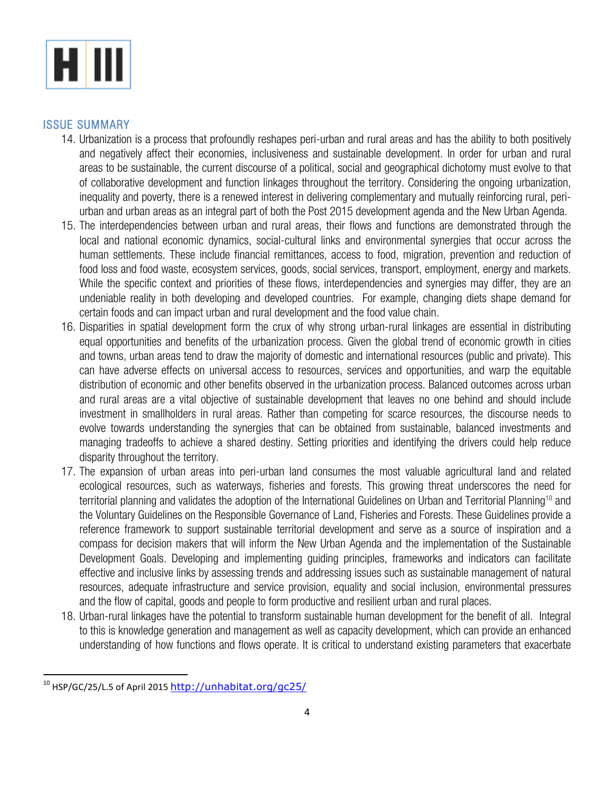

#### ISSUE SUMMARY

- 14. Urbanization is a process that profoundly reshapes peri-urban and rural areas and has the ability to both positively and negatively affect their economies, inclusiveness and sustainable development. In order for urban and rural areas to be sustainable, the current discourse of a political, social and geographical dichotomy must evolve to that of collaborative development and function linkages throughout the territory. Considering the ongoing urbanization, inequality and poverty, there is a renewed interest in delivering complementary and mutually reinforcing rural, periurban and urban areas as an integral part of both the Post 2015 development agenda and the New Urban Agenda.
- 15. The interdependencies between urban and rural areas, their flows and functions are demonstrated through the local and national economic dynamics, social-cultural links and environmental synergies that occur across the human settlements. These include financial remittances, access to food, migration, prevention and reduction of food loss and food waste, ecosystem services, goods, social services, transport, employment, energy and markets. While the specific context and priorities of these flows, interdependencies and synergies may differ, they are an undeniable reality in both developing and developed countries. For example, changing diets shape demand for certain foods and can impact urban and rural development and the food value chain.
- 16. Disparities in spatial development form the crux of why strong urban-rural linkages are essential in distributing equal opportunities and benefits of the urbanization process. Given the global trend of economic growth in cities and towns, urban areas tend to draw the majority of domestic and international resources (public and private). This can have adverse effects on universal access to resources, services and opportunities, and warp the equitable distribution of economic and other benefits observed in the urbanization process. Balanced outcomes across urban and rural areas are a vital objective of sustainable development that leaves no one behind and should include investment in smallholders in rural areas. Rather than competing for scarce resources, the discourse needs to evolve towards understanding the synergies that can be obtained from sustainable, balanced investments and managing tradeoffs to achieve a shared destiny. Setting priorities and identifying the drivers could help reduce disparity throughout the territory.
- 17. The expansion of urban areas into peri-urban land consumes the most valuable agricultural land and related ecological resources, such as waterways, fisheries and forests. This growing threat underscores the need for territorial planning and validates the adoption of the International Guidelines on Urban and Territorial Planning<sup>10</sup> and the Voluntary Guidelines on the Responsible Governance of Land, Fisheries and Forests. These Guidelines provide a reference framework to support sustainable territorial development and serve as a source of inspiration and a compass for decision makers that will inform the New Urban Agenda and the implementation of the Sustainable Development Goals. Developing and implementing guiding principles, frameworks and indicators can facilitate effective and inclusive links by assessing trends and addressing issues such as sustainable management of natural resources, adequate infrastructure and service provision, equality and social inclusion, environmental pressures and the flow of capital, goods and people to form productive and resilient urban and rural places.
- 18. Urban-rural linkages have the potential to transform sustainable human development for the benefit of all. Integral to this is knowledge generation and management as well as capacity development, which can provide an enhanced understanding of how functions and flows operate. It is critical to understand existing parameters that exacerbate

 

 $10$  HSP/GC/25/L.5 of April 2015 http://unhabitat.org/gc25/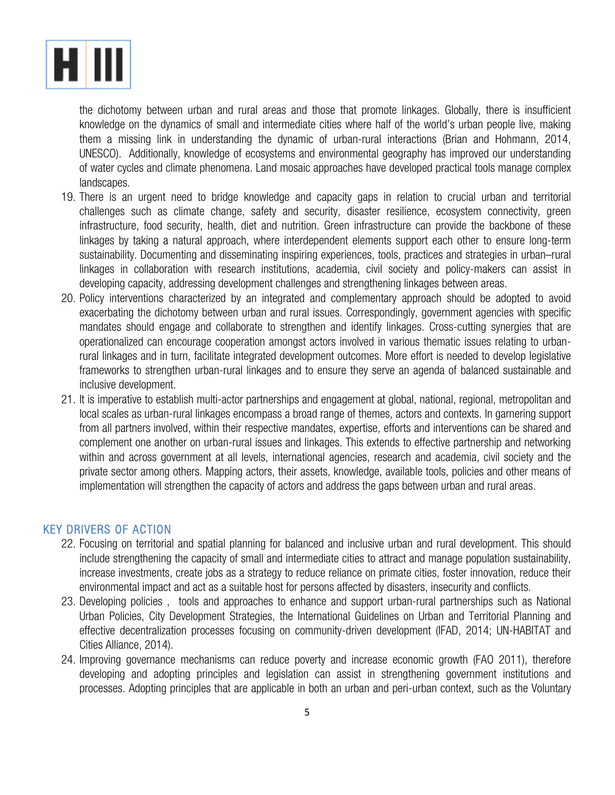

the dichotomy between urban and rural areas and those that promote linkages. Globally, there is insufficient knowledge on the dynamics of small and intermediate cities where half of the world's urban people live, making them a missing link in understanding the dynamic of urban-rural interactions (Brian and Hohmann, 2014, UNESCO). Additionally, knowledge of ecosystems and environmental geography has improved our understanding of water cycles and climate phenomena. Land mosaic approaches have developed practical tools manage complex landscapes.

- 19. There is an urgent need to bridge knowledge and capacity gaps in relation to crucial urban and territorial challenges such as climate change, safety and security, disaster resilience, ecosystem connectivity, green infrastructure, food security, health, diet and nutrition. Green infrastructure can provide the backbone of these linkages by taking a natural approach, where interdependent elements support each other to ensure long-term sustainability. Documenting and disseminating inspiring experiences, tools, practices and strategies in urban–rural linkages in collaboration with research institutions, academia, civil society and policy-makers can assist in developing capacity, addressing development challenges and strengthening linkages between areas.
- 20. Policy interventions characterized by an integrated and complementary approach should be adopted to avoid exacerbating the dichotomy between urban and rural issues. Correspondingly, government agencies with specific mandates should engage and collaborate to strengthen and identify linkages. Cross-cutting synergies that are operationalized can encourage cooperation amongst actors involved in various thematic issues relating to urbanrural linkages and in turn, facilitate integrated development outcomes. More effort is needed to develop legislative frameworks to strengthen urban-rural linkages and to ensure they serve an agenda of balanced sustainable and inclusive development.
- 21. It is imperative to establish multi-actor partnerships and engagement at global, national, regional, metropolitan and local scales as urban-rural linkages encompass a broad range of themes, actors and contexts. In garnering support from all partners involved, within their respective mandates, expertise, efforts and interventions can be shared and complement one another on urban-rural issues and linkages. This extends to effective partnership and networking within and across government at all levels, international agencies, research and academia, civil society and the private sector among others. Mapping actors, their assets, knowledge, available tools, policies and other means of implementation will strengthen the capacity of actors and address the gaps between urban and rural areas.

#### KEY DRIVERS OF ACTION

- 22. Focusing on territorial and spatial planning for balanced and inclusive urban and rural development. This should include strengthening the capacity of small and intermediate cities to attract and manage population sustainability, increase investments, create jobs as a strategy to reduce reliance on primate cities, foster innovation, reduce their environmental impact and act as a suitable host for persons affected by disasters, insecurity and conflicts.
- 23. Developing policies , tools and approaches to enhance and support urban-rural partnerships such as National Urban Policies, City Development Strategies, the International Guidelines on Urban and Territorial Planning and effective decentralization processes focusing on community-driven development (IFAD, 2014; UN-HABITAT and Cities Alliance, 2014).
- 24. Improving governance mechanisms can reduce poverty and increase economic growth (FAO 2011), therefore developing and adopting principles and legislation can assist in strengthening government institutions and processes. Adopting principles that are applicable in both an urban and peri-urban context, such as the Voluntary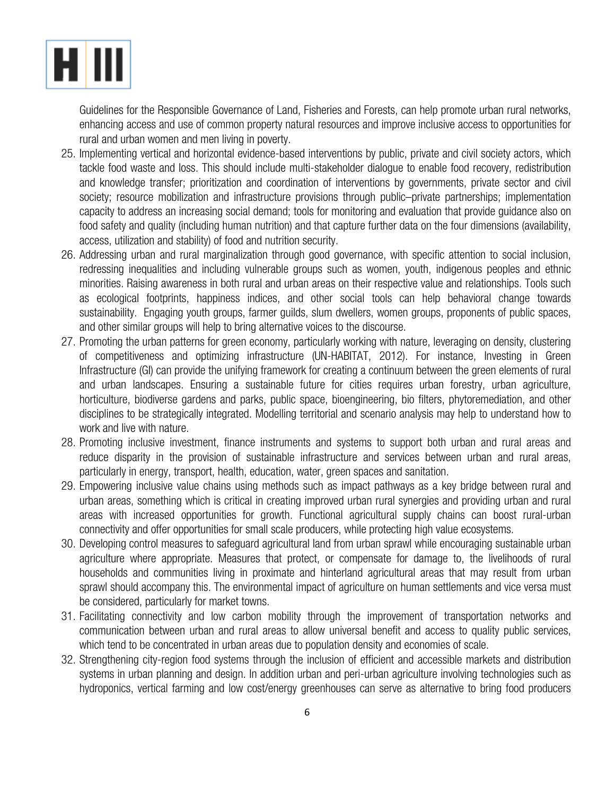

Guidelines for the Responsible Governance of Land, Fisheries and Forests, can help promote urban rural networks, enhancing access and use of common property natural resources and improve inclusive access to opportunities for rural and urban women and men living in poverty.

- 25. Implementing vertical and horizontal evidence-based interventions by public, private and civil society actors, which tackle food waste and loss. This should include multi-stakeholder dialogue to enable food recovery, redistribution and knowledge transfer; prioritization and coordination of interventions by governments, private sector and civil society; resource mobilization and infrastructure provisions through public–private partnerships; implementation capacity to address an increasing social demand; tools for monitoring and evaluation that provide guidance also on food safety and quality (including human nutrition) and that capture further data on the four dimensions (availability, access, utilization and stability) of food and nutrition security.
- 26. Addressing urban and rural marginalization through good governance, with specific attention to social inclusion, redressing inequalities and including vulnerable groups such as women, youth, indigenous peoples and ethnic minorities. Raising awareness in both rural and urban areas on their respective value and relationships. Tools such as ecological footprints, happiness indices, and other social tools can help behavioral change towards sustainability. Engaging youth groups, farmer guilds, slum dwellers, women groups, proponents of public spaces, and other similar groups will help to bring alternative voices to the discourse.
- 27. Promoting the urban patterns for green economy, particularly working with nature, leveraging on density, clustering of competitiveness and optimizing infrastructure (UN-HABITAT, 2012). For instance, Investing in Green Infrastructure (GI) can provide the unifying framework for creating a continuum between the green elements of rural and urban landscapes. Ensuring a sustainable future for cities requires urban forestry, urban agriculture, horticulture, biodiverse gardens and parks, public space, bioengineering, bio filters, phytoremediation, and other disciplines to be strategically integrated. Modelling territorial and scenario analysis may help to understand how to work and live with nature.
- 28. Promoting inclusive investment, finance instruments and systems to support both urban and rural areas and reduce disparity in the provision of sustainable infrastructure and services between urban and rural areas, particularly in energy, transport, health, education, water, green spaces and sanitation.
- 29. Empowering inclusive value chains using methods such as impact pathways as a key bridge between rural and urban areas, something which is critical in creating improved urban rural synergies and providing urban and rural areas with increased opportunities for growth. Functional agricultural supply chains can boost rural-urban connectivity and offer opportunities for small scale producers, while protecting high value ecosystems.
- 30. Developing control measures to safeguard agricultural land from urban sprawl while encouraging sustainable urban agriculture where appropriate. Measures that protect, or compensate for damage to, the livelihoods of rural households and communities living in proximate and hinterland agricultural areas that may result from urban sprawl should accompany this. The environmental impact of agriculture on human settlements and vice versa must be considered, particularly for market towns.
- 31. Facilitating connectivity and low carbon mobility through the improvement of transportation networks and communication between urban and rural areas to allow universal benefit and access to quality public services, which tend to be concentrated in urban areas due to population density and economies of scale.
- 32. Strengthening city-region food systems through the inclusion of efficient and accessible markets and distribution systems in urban planning and design. In addition urban and peri-urban agriculture involving technologies such as hydroponics, vertical farming and low cost/energy greenhouses can serve as alternative to bring food producers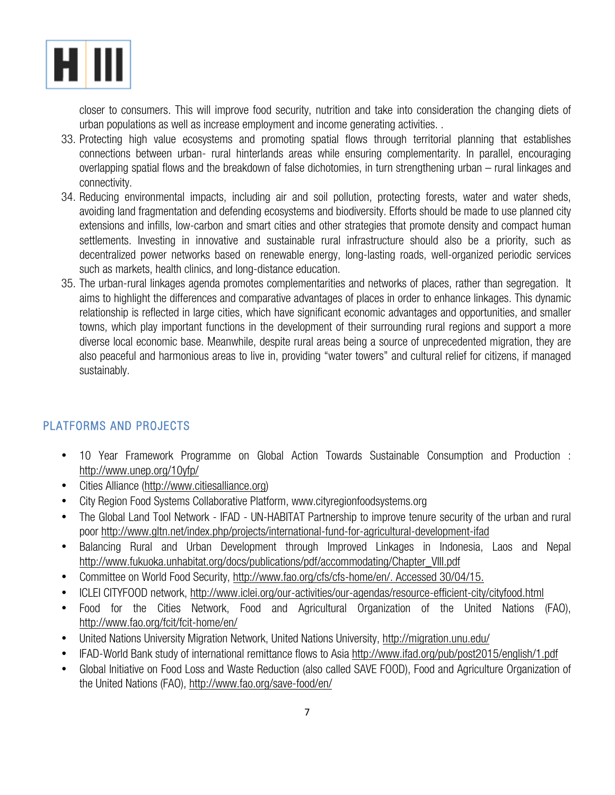

closer to consumers. This will improve food security, nutrition and take into consideration the changing diets of urban populations as well as increase employment and income generating activities. .

- 33. Protecting high value ecosystems and promoting spatial flows through territorial planning that establishes connections between urban- rural hinterlands areas while ensuring complementarity. In parallel, encouraging overlapping spatial flows and the breakdown of false dichotomies, in turn strengthening urban – rural linkages and connectivity.
- 34. Reducing environmental impacts, including air and soil pollution, protecting forests, water and water sheds, avoiding land fragmentation and defending ecosystems and biodiversity. Efforts should be made to use planned city extensions and infills, low-carbon and smart cities and other strategies that promote density and compact human settlements. Investing in innovative and sustainable rural infrastructure should also be a priority, such as decentralized power networks based on renewable energy, long-lasting roads, well-organized periodic services such as markets, health clinics, and long-distance education.
- 35. The urban-rural linkages agenda promotes complementarities and networks of places, rather than segregation. It aims to highlight the differences and comparative advantages of places in order to enhance linkages. This dynamic relationship is reflected in large cities, which have significant economic advantages and opportunities, and smaller towns, which play important functions in the development of their surrounding rural regions and support a more diverse local economic base. Meanwhile, despite rural areas being a source of unprecedented migration, they are also peaceful and harmonious areas to live in, providing "water towers" and cultural relief for citizens, if managed sustainably.

#### PLATFORMS AND PROJECTS

- 10 Year Framework Programme on Global Action Towards Sustainable Consumption and Production : http://www.unep.org/10yfp/
- Cities Alliance (http://www.citiesalliance.org)
- City Region Food Systems Collaborative Platform, www.cityregionfoodsystems.org
- The Global Land Tool Network IFAD UN-HABITAT Partnership to improve tenure security of the urban and rural poor http://www.gltn.net/index.php/projects/international-fund-for-agricultural-development-ifad
- Balancing Rural and Urban Development through Improved Linkages in Indonesia, Laos and Nepal http://www.fukuoka.unhabitat.org/docs/publications/pdf/accommodating/Chapter\_VIII.pdf
- Committee on World Food Security, http://www.fao.org/cfs/cfs-home/en/. Accessed 30/04/15.
- ICLEI CITYFOOD network, http://www.iclei.org/our-activities/our-agendas/resource-efficient-city/cityfood.html
- Food for the Cities Network, Food and Agricultural Organization of the United Nations (FAO), http://www.fao.org/fcit/fcit-home/en/
- United Nations University Migration Network, United Nations University, http://migration.unu.edu/
- IFAD-World Bank study of international remittance flows to Asia http://www.ifad.org/pub/post2015/english/1.pdf
- Global Initiative on Food Loss and Waste Reduction (also called SAVE FOOD), Food and Agriculture Organization of the United Nations (FAO), http://www.fao.org/save-food/en/